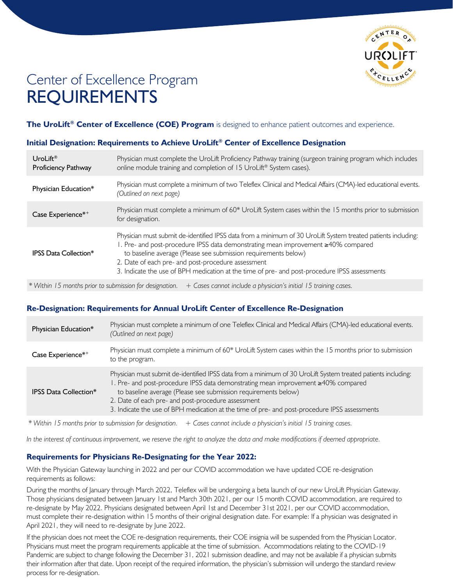

# Center of Excellence Program REQUIREMENTS

**The UroLift® Center of Excellence (COE) Program** is designed to enhance patient outcomes and experience.

# **Initial Designation: Requirements to Achieve UroLift® Center of Excellence Designation**

| UroLift <sup>®</sup><br>Proficiency Pathway                                                                                | Physician must complete the UroLift Proficiency Pathway training (surgeon training program which includes<br>online module training and completion of 15 UroLift <sup>®</sup> System cases).                                                                                                                                                                                                                                |
|----------------------------------------------------------------------------------------------------------------------------|-----------------------------------------------------------------------------------------------------------------------------------------------------------------------------------------------------------------------------------------------------------------------------------------------------------------------------------------------------------------------------------------------------------------------------|
| Physician Education*                                                                                                       | Physician must complete a minimum of two Teleflex Clinical and Medical Affairs (CMA)-led educational events.<br>(Outlined on next page)                                                                                                                                                                                                                                                                                     |
| Case Experience*+                                                                                                          | Physician must complete a minimum of 60* UroLift System cases within the 15 months prior to submission<br>for designation.                                                                                                                                                                                                                                                                                                  |
| <b>IPSS Data Collection*</b>                                                                                               | Physician must submit de-identified IPSS data from a minimum of 30 UroLift System treated patients including:<br>1. Pre- and post-procedure IPSS data demonstrating mean improvement ≥40% compared<br>to baseline average (Please see submission requirements below)<br>2. Date of each pre- and post-procedure assessment<br>3. Indicate the use of BPH medication at the time of pre- and post-procedure IPSS assessments |
| * Within 15 months prior to submission for designation.<br>+ Cases cannot include a physician's initial 15 training cases. |                                                                                                                                                                                                                                                                                                                                                                                                                             |

# **Re-Designation: Requirements for Annual UroLift Center of Excellence Re-Designation**

| Physician Education*         | Physician must complete a minimum of one Teleflex Clinical and Medical Affairs (CMA)-led educational events.<br>(Outlined on next page)                                                                                                                                                                                                                                                                                     |
|------------------------------|-----------------------------------------------------------------------------------------------------------------------------------------------------------------------------------------------------------------------------------------------------------------------------------------------------------------------------------------------------------------------------------------------------------------------------|
| Case Experience*+            | Physician must complete a minimum of 60* UroLift System cases within the 15 months prior to submission<br>to the program.                                                                                                                                                                                                                                                                                                   |
| <b>IPSS Data Collection*</b> | Physician must submit de-identified IPSS data from a minimum of 30 UroLift System treated patients including:<br>1. Pre- and post-procedure IPSS data demonstrating mean improvement ≥40% compared<br>to baseline average (Please see submission requirements below)<br>2. Date of each pre- and post-procedure assessment<br>3. Indicate the use of BPH medication at the time of pre- and post-procedure IPSS assessments |

*\* Within 15 months prior to submission for designation. + Cases cannot include a physician's initial 15 training cases.*

*In the interest of continuous improvement, we reserve the right to analyze the data and make modifications if deemed appropriate.*

# **Requirements for Physicians Re-Designating for the Year 2022:**

With the Physician Gateway launching in 2022 and per our COVID accommodation we have updated COE re-designation requirements as follows:

During the months of January through March 2022, Teleflex will be undergoing a beta launch of our new UroLift Physician Gateway. Those physicians designated between January 1st and March 30th 2021, per our 15 month COVID accommodation, are required to re-designate by May 2022. Physicians designated between April 1st and December 31st 2021, per our COVID accommodation, must complete their re-designation within 15 months of their original designation date. For example: If a physician was designated in April 2021, they will need to re-designate by June 2022.

If the physician does not meet the COE re-designation requirements, their COE insignia will be suspended from the Physician Locator. Physicians must meet the program requirements applicable at the time of submission. Accommodations relating to the COVID-19 Pandemic are subject to change following the December 31, 2021 submission deadline, and may not be available if a physician submits their information after that date. Upon receipt of the required information, the physician's submission will undergo the standard review process for re-designation.